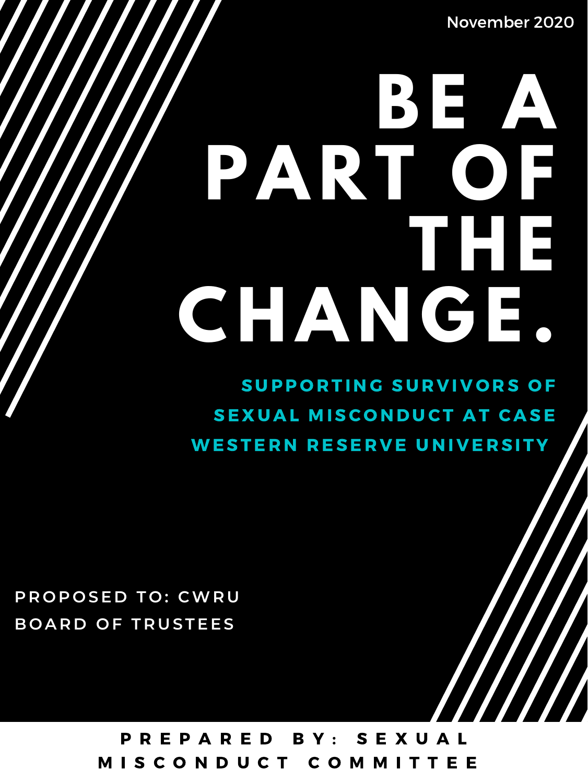# **BE A PART OF THE CHA N G E.**

SUPPORTING SURVIVORS OF

# P TO: CWRU<br>F TRUSTEES<br>PREPARED BY: SEXUAL M I S C O N D U C T C O M M I T T E E

### **P R O P O SE D T O : CWR U B O A R D O F T R U S TEES**

### SEXUAL MISCONDUCT AT CASE WESTERN RESERVE UNIVERSITY

November 2020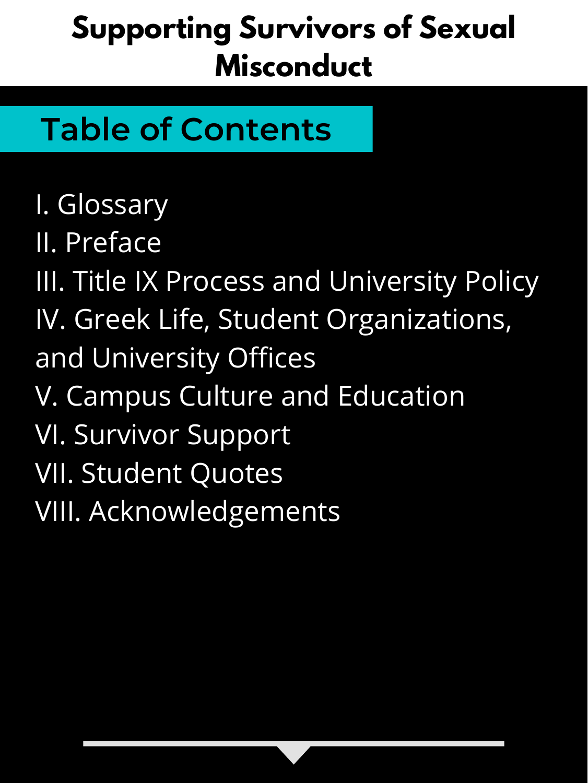# **Table of Contents**

I. Glossary II. Preface III. Title IX Process and University Policy IV. Greek Life, Student Organizations, and University Offices V. Campus Culture and Education VI. Survivor Support VII. Student Quotes VIII. Acknowledgements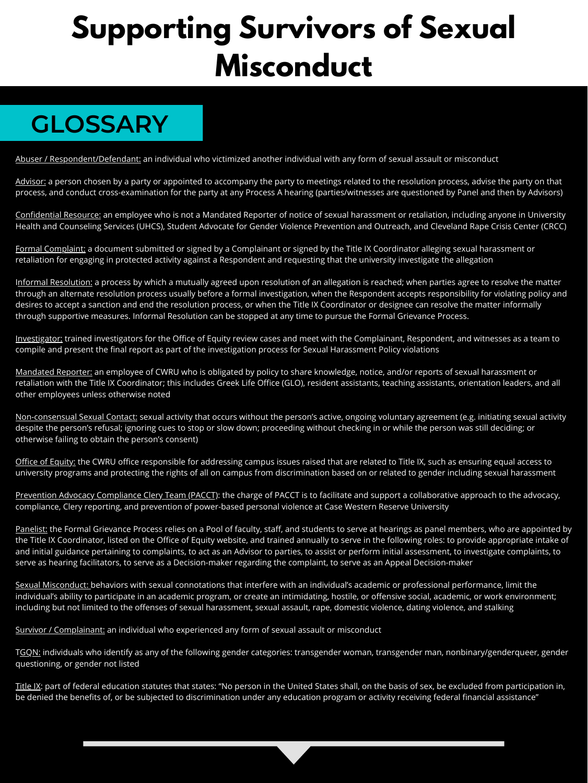## **GLOSSARY**

Abuser / Respondent/Defendant: an individual who victimized another individual with any form of sexual assault or misconduct

Advisor: a person chosen by a party or appointed to accompany the party to meetings related to the resolution process, advise the party on that process, and conduct cross-examination for the party at any Process A hearing (parties/witnesses are questioned by Panel and then by Advisors)

Formal Complaint: a document submitted or signed by a Complainant or signed by the Title IX Coordinator alleging sexual harassment or retaliation for engaging in protected activity against a Respondent and requesting that the university investigate the allegation

Confidential Resource: an employee who is not a Mandated Reporter of notice of sexual harassment or retaliation, including anyone in University Health and Counseling Services (UHCS), Student Advocate for Gender Violence Prevention and Outreach, and Cleveland Rape Crisis Center (CRCC)

Informal Resolution: a process by which a mutually agreed upon resolution of an allegation is reached; when parties agree to resolve the matter through an alternate resolution process usually before a formal investigation, when the Respondent accepts responsibility for violating policy and desires to accept a sanction and end the resolution process, or when the Title IX Coordinator or designee can resolve the matter informally through supportive measures. Informal Resolution can be stopped at any time to pursue the Formal Grievance Process.

Investigator: trained investigators for the Office of Equity review cases and meet with the Complainant, Respondent, and witnesses as a team to compile and present the final report as part of the investigation process for Sexual Harassment Policy violations

Mandated Reporter: an employee of CWRU who is obligated by policy to share knowledge, notice, and/or reports of sexual harassment or retaliation with the Title IX Coordinator; this includes Greek Life Office (GLO), resident assistants, teaching assistants, orientation leaders, and all other employees unless otherwise noted

Non-consensual Sexual Contact: sexual activity that occurs without the person's active, ongoing voluntary agreement (e.g. initiating sexual activity despite the person's refusal; ignoring cues to stop or slow down; proceeding without checking in or while the person was still deciding; or otherwise failing to obtain the person's consent)

Office of Equity: the CWRU office responsible for addressing campus issues raised that are related to Title IX, such as ensuring equal access to university programs and protecting the rights of all on campus from discrimination based on or related to gender including sexual harassment

Prevention Advocacy Compliance Clery Team (PACCT): the charge of PACCT is to facilitate and support a collaborative approach to the advocacy, compliance, Clery reporting, and prevention of power-based personal violence at Case Western Reserve University

Panelist: the Formal Grievance Process relies on a Pool of faculty, staff, and students to serve at hearings as panel members, who are appointed by the Title IX Coordinator, listed on the Office of Equity website, and trained annually to serve in the following roles: to provide appropriate intake of and initial guidance pertaining to complaints, to act as an Advisor to parties, to assist or perform initial assessment, to investigate complaints, to serve as hearing facilitators, to serve as a Decision-maker regarding the complaint, to serve as an Appeal Decision-maker

Sexual Misconduct: behaviors with sexual connotations that interfere with an individual's academic or professional performance, limit the individual's ability to participate in an academic program, or create an intimidating, hostile, or offensive social, academic, or work environment; including but not limited to the offenses of sexual harassment, sexual assault, rape, domestic violence, dating violence, and stalking

Survivor / Complainant: an individual who experienced any form of sexual assault or misconduct

TGQN: individuals who identify as any of the following gender categories: transgender woman, transgender man, nonbinary/genderqueer, gender questioning, or gender not listed

Title IX: part of federal education statutes that states: "No person in the United States shall, on the basis of sex, be excluded from participation in, be denied the benefits of, or be subjected to discrimination under any education program or activity receiving federal financial assistance"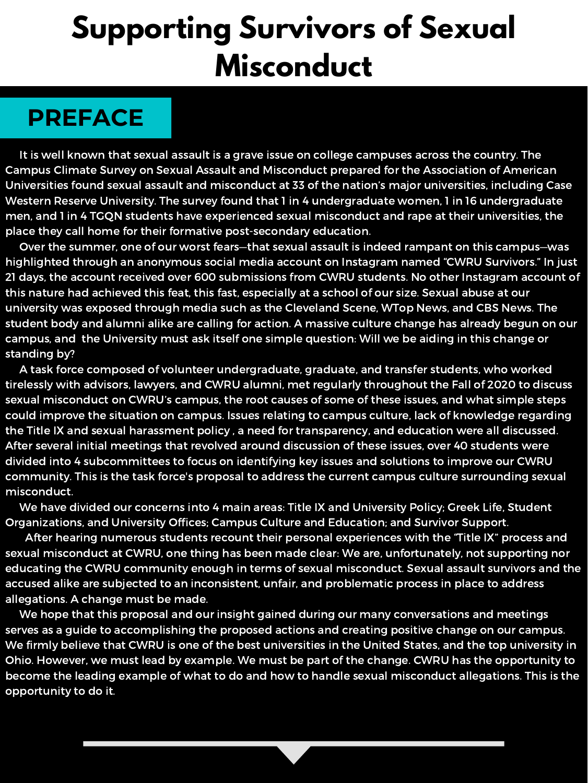It is well known that sexual assault is a grave issue on college campuses across the country. The Campus Climate Survey on Sexual Assault and Misconduct prepared for the Association of American Universities found sexual assault and misconduct at 33 of the nation's major universities, including Case Western Reserve University. The survey found that 1 in 4 undergraduate women, 1 in 16 undergraduate men, and 1 in 4 TGQN students have experienced sexual misconduct and rape at their universities, the place they call home for their formative post-secondary education.

Over the summer, one of our worst fears—that sexual assault is indeed rampant on this campus—was highlighted through an anonymous social media account on Instagram named "CWRU Survivors." In just 21 days, the account received over 600 submissions from CWRU students. No other Instagram account of this nature had achieved this feat, this fast, especially at a school of our size. Sexual abuse at our university was exposed through media such as the Cleveland Scene, WTop News, and CBS News. The student body and alumni alike are calling for action. A massive culture change has already begun on our campus, and the University must ask itself one simple question: Will we be aiding in this change or standing by?

A task force composed of volunteer undergraduate, graduate, and transfer students, who worked tirelessly with advisors, lawyers, and CWRU alumni, met regularly throughout the Fall of 2020 to discuss sexual misconduct on CWRU's campus, the root causes of some of these issues, and what simple steps could improve the situation on campus. Issues relating to campus culture, lack of knowledge regarding the Title IX and sexual harassment policy , a need for transparency, and education were all discussed. After several initial meetings that revolved around discussion of these issues, over 40 students were divided into 4 subcommittees to focus on identifying key issues and solutions to improve our CWRU community. This is the task force's proposal to address the current campus culture surrounding sexual misconduct.

We have divided our concerns into 4 main areas: Title IX and University Policy; Greek Life, Student Organizations, and University Offices; Campus Culture and Education; and Survivor Support.

After hearing numerous students recount their personal experiences with the "Title IX" process and sexual misconduct at CWRU, one thing has been made clear: We are, unfortunately, not supporting nor educating the CWRU community enough in terms of sexual misconduct. Sexual assault survivors and the accused alike are subjected to an inconsistent, unfair, and problematic process in place to address allegations. A change must be made.

We hope that this proposal and our insight gained during our many conversations and meetings serves as a guide to accomplishing the proposed actions and creating positive change on our campus. We firmly believe that CWRU is one of the best universities in the United States, and the top university in Ohio. However, we must lead by example. We must be part of the change. CWRU has the opportunity to become the leading example of what to do and how to handle sexual misconduct allegations. This is the opportunity to do it.

# **Supporting Survivors of Sexual Misconduct**

### **PREFACE**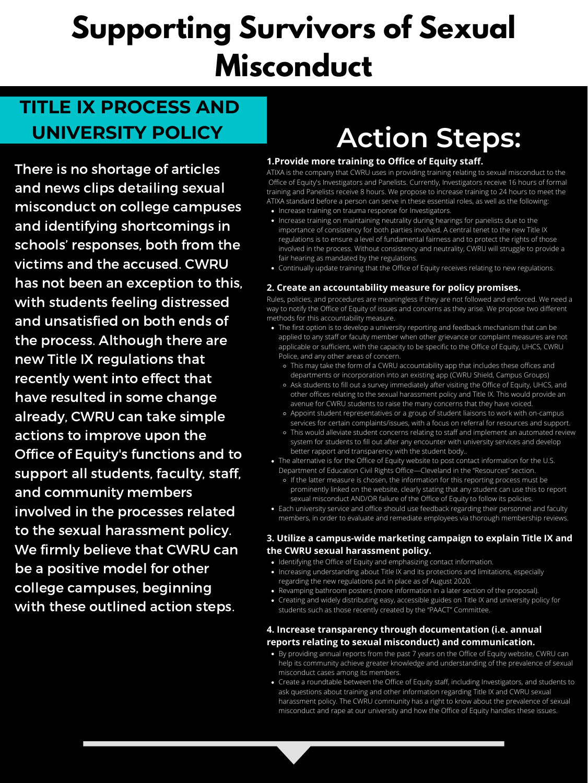### **TITLE IX PROCESS AND UNIVERSITY POLICY**

There is no shortage of articles and news clips detailing sexual misconduct on college campuses and identifying shortcomings in schools' responses, both from the victims and the accused. CWRU has not been an exception to this, with students feeling distressed and unsatisfied on both ends of the process. Although there are new Title IX regulations that recently went into effect that have resulted in some change already, CWRU can take simple actions to improve upon the Office of Equity's functions and to support all students, faculty, staff, and community members involved in the processes related to the sexual harassment policy. We firmly believe that CWRU can be a positive model for other college campuses, beginning with these outlined action steps.

- Increase training on trauma response for Investigators.
- Increase training on maintaining neutrality during hearings for panelists due to the importance of consistency for both parties involved. A central tenet to the new Title IX regulations is to ensure a level of fundamental fairness and to protect the rights of those involved in the process. Without consistency and neutrality, CWRU will struggle to provide a fair hearing as mandated by the regulations.
- Continually update training that the Office of Equity receives relating to new regulations.

# **Action Steps:**

- The first option is to develop a university reporting and feedback mechanism that can be applied to any staff or faculty member when other grievance or complaint measures are not applicable or sufficient, with the capacity to be specific to the Office of Equity, UHCS, CWRU Police, and any other areas of concern.
	- This may take the form of a CWRU accountability app that includes these offices and departments or incorporation into an existing app (CWRU Shield, Campus Groups)
	- Ask students to fill out a survey immediately after visiting the Office of Equity, UHCS, and other offices relating to the sexual harassment policy and Title IX. This would provide an avenue for CWRU students to raise the many concerns that they have voiced.
	- Appoint student representatives or a group of student liaisons to work with on-campus services for certain complaints/issues, with a focus on referral for resources and support.
	- This would alleviate student concerns relating to staff and implement an automated review system for students to fill out after any encounter with university services and develop better rapport and transparency with the student body..
- The alternative is for the Office of Equity website to post contact information for the U.S. Department of Education Civil Rights Office—Cleveland in the "Resources" section.
	- If the latter measure is chosen, the information for this reporting process must be prominently linked on the website, clearly stating that any student can use this to report sexual misconduct AND/OR failure of the Office of Equity to follow its policies.
- Each university service and office should use feedback regarding their personnel and faculty members, in order to evaluate and remediate employees via thorough membership reviews.

- Identifying the Office of Equity and emphasizing contact information.
- Increasing understanding about Title IX and its protections and limitations, especially regarding the new regulations put in place as of August 2020.
- Revamping bathroom posters (more information in a later section of the proposal).
- Creating and widely distributing easy, accessible guides on Title IX and university policy for students such as those recently created by the "PAACT" Committee.

- By providing annual reports from the past 7 years on the Office of Equity website, CWRU can help its community achieve greater knowledge and understanding of the prevalence of sexual misconduct cases among its members.
- Create a roundtable between the Office of Equity staff, including Investigators, and students to ask questions about training and other information regarding Title IX and CWRU sexual harassment policy. The CWRU community has a right to know about the prevalence of sexual misconduct and rape at our university and how the Office of Equity handles these issues.

### **1.Provide more training to Office of Equity staff.**

ATIXA is the company that CWRU uses in providing training relating to sexual misconduct to the Office of Equity's Investigators and Panelists. Currently, Investigators receive 16 hours of formal training and Panelists receive 8 hours. We propose to increase training to 24 hours to meet the ATIXA standard before a person can serve in these essential roles, as well as the following:

### **2. Create an accountability measure for policy promises.**

Rules, policies, and procedures are meaningless if they are not followed and enforced. We need a way to notify the Office of Equity of issues and concerns as they arise. We propose two different methods for this accountability measure.

### **3. Utilize a campus-wide marketing campaign to explain Title IX and the CWRU sexual harassment policy.**

### **4. Increase transparency through documentation (i.e. annual reports relating to sexual misconduct) and communication.**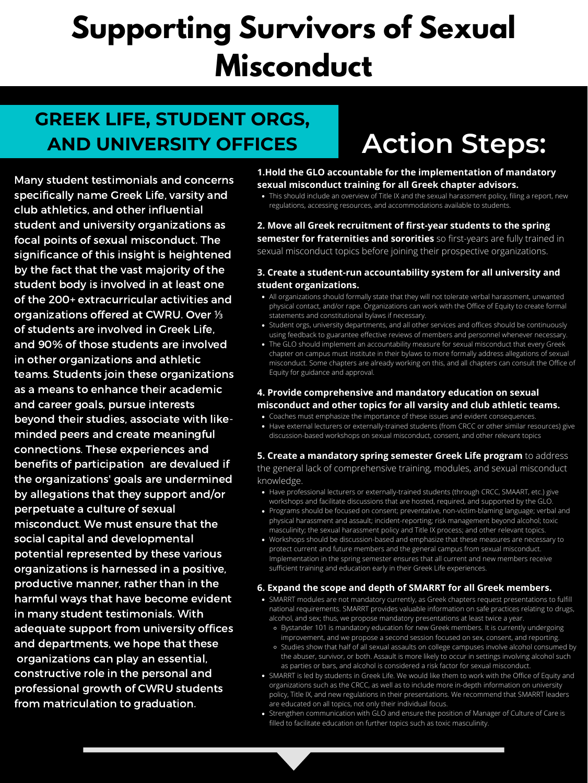### **GREEK LIFE, STUDENT ORGS, AND UNIVERSITY OFFICES**

Many student testimonials and concerns specifically name Greek Life, varsity and club athletics, and other influential student and university organizations as focal points of sexual misconduct. The significance of this insight is heightened by the fact that the vast majority of the student body is involved in at least one of the 200+ extracurricular activities and organizations offered at CWRU. Over ⅓ of students are involved in Greek Life, and 90% of those students are involved in other organizations and athletic teams. Students join these organizations as a means to enhance their academic and career goals, pursue interests beyond their studies, associate with likeminded peers and create meaningful connections. These experiences and benefits of participation are devalued if the organizations' goals are undermined by allegations that they support and/or perpetuate a culture of sexual misconduct. We must ensure that the social capital and developmental potential represented by these various organizations is harnessed in a positive, productive manner, rather than in the harmful ways that have become evident in many student testimonials. With adequate support from university offices and departments, we hope that these organizations can play an essential, constructive role in the personal and professional growth of CWRU students from matriculation to graduation.

• This should include an overview of Title IX and the sexual harassment policy, filing a report, new regulations, accessing resources, and accommodations available to students.

- Have professional lecturers or externally-trained students (through CRCC, SMAART, etc.) give workshops and facilitate discussions that are hosted, required, and supported by the GLO.
- Programs should be focused on consent; preventative, non-victim-blaming language; verbal and physical harassment and assault; incident-reporting; risk management beyond alcohol; toxic masculinity; the sexual harassment policy and Title IX process; and other relevant topics.
- Workshops should be discussion-based and emphasize that these measures are necessary to protect current and future members and the general campus from sexual misconduct. Implementation in the spring semester ensures that all current and new members receive sufficient training and education early in their Greek Life experiences.
- All organizations should formally state that they will not tolerate verbal harassment, unwanted physical contact, and/or rape. Organizations can work with the Office of Equity to create formal statements and constitutional bylaws if necessary.
- Student orgs, university departments, and all other services and offices should be continuously using feedback to guarantee effective reviews of members and personnel whenever necessary.
- The GLO should implement an accountability measure for sexual misconduct that every Greek chapter on campus must institute in their bylaws to more formally address allegations of sexual misconduct. Some chapters are already working on this, and all chapters can consult the Office of Equity for guidance and approval.

- Coaches must emphasize the importance of these issues and evident consequences.
- Have external lecturers or externally-trained students (from CRCC or other similar resources) give discussion-based workshops on sexual misconduct, consent, and other relevant topics

- SMARRT modules are not mandatory currently, as Greek chapters request presentations to fulfill national requirements. SMARRT provides valuable information on safe practices relating to drugs, alcohol, and sex; thus, we propose mandatory presentations at least twice a year.
	- Bystander 101 is mandatory education for new Greek members. It is currently undergoing improvement, and we propose a second session focused on sex, consent, and reporting.
	- Studies show that half of all sexual assaults on college campuses involve alcohol consumed by the abuser, survivor, or both. Assault is more likely to occur in settings involving alcohol such as parties or bars, and alcohol is considered a risk factor for sexual misconduct.
- SMARRT is led by students in Greek Life. We would like them to work with the Office of Equity and organizations such as the CRCC, as well as to include more in-depth information on university policy, Title IX, and new regulations in their presentations. We recommend that SMARRT leaders are educated on all topics, not only their individual focus.
- Strengthen communication with GLO and ensure the position of Manager of Culture of Care is filled to facilitate education on further topics such as toxic masculinity.

### **1.Hold the GLO accountable for the implementation of mandatory sexual misconduct training for all Greek chapter advisors.**

### **2. Move all Greek recruitment of first-year students to the spring semester for fraternities and sororities** so first-years are fully trained in sexual misconduct topics before joining their prospective organizations.

### **3. Create a student-run accountability system for all university and student organizations.**

### **4. Provide comprehensive and mandatory education on sexual misconduct and other topics for all varsity and club athletic teams.**

**5. Create a mandatory spring semester Greek Life program** to address the general lack of comprehensive training, modules, and sexual misconduct knowledge.

### **6. Expand the scope and depth of SMARRT for all Greek members.**

# **Action Steps:**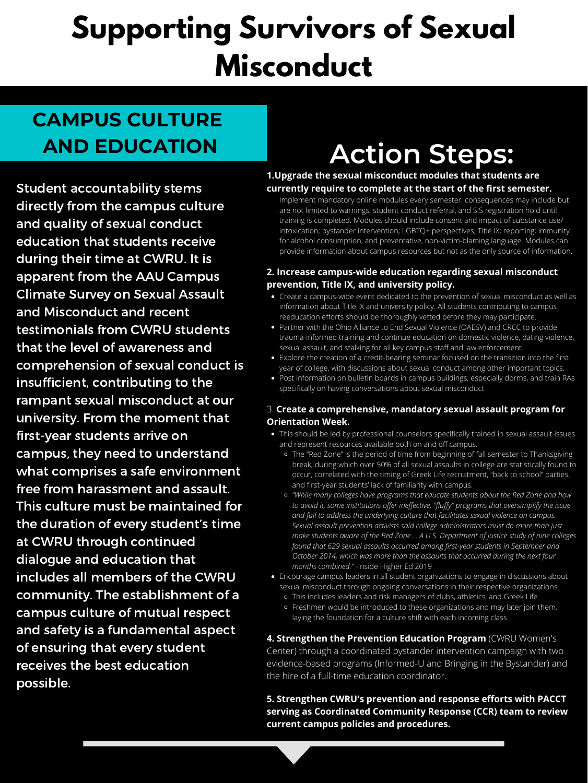# **CAMPUS CULTURE**

# **AND EDUCATION Action Steps:**

Student accountability stems directly from the campus culture and quality of sexual conduct education that students receive during their time at CWRU. It is apparent from the AAU Campus Climate Survey on Sexual Assault and Misconduct and recent testimonials from CWRU students that the level of awareness and comprehension of sexual conduct is insufficient, contributing to the rampant sexual misconduct at our university. From the moment that first-year students arrive on campus, they need to understand what comprises a safe environment free from harassment and assault. This culture must be maintained for the duration of every student's time at CWRU through continued dialogue and education that includes all members of the CWRU community. The establishment of a campus culture of mutual respect and safety is a fundamental aspect of ensuring that every student receives the best education possible.

Implement mandatory online modules every semester; consequences may include but are not limited to warnings, student conduct referral, and SIS registration hold until training is completed. Modules should include consent and impact of substance use/ intoxication; bystander intervention; LGBTQ+ perspectives; Title IX; reporting; immunity for alcohol consumption; and preventative, non-victim-blaming language. Modules can provide information about campus resources but not as the only source of information.

- Create a campus-wide event dedicated to the prevention of sexual misconduct as well as information about Title IX and university policy. All students contributing to campus reeducation efforts should be thoroughly vetted before they may participate.
- Partner with the Ohio Alliance to End Sexual Violence (OAESV) and CRCC to provide trauma-informed training and continue education on domestic violence, dating violence, sexual assault, and stalking for all key campus staff and law enforcement.
- Explore the creation of a credit-bearing seminar focused on the transition into the first year of college, with discussions about sexual conduct among other important topics.
- Post information on bulletin boards in campus buildings, especially dorms, and train RAs specifically on having conversations about sexual misconduct

- This should be led by professional counselors specifically trained in sexual assault issues and represent resources available both on and off campus.
	- The "Red Zone" is the period of time from beginning of fall semester to Thanksgiving break, during which over 50% of all sexual assaults in college are statistically found to occur, correlated with the timing of Greek Life recruitment, "back to school" parties, and first-year students' lack of familiarity with campus.
	- *"While many colleges have programs that educate students about the Red Zone and how to avoid it, some institutions offer ineffective, "fluffy" programs that oversimplify the issue and fail to address the underlying culture that facilitates sexual violence on campus. Sexual assault prevention activists said college administrators must do more than just make students aware of the Red Zone.... A U.S. Department of Justice study of nine colleges found that 629 sexual assaults occurred among first-year students in September and October 2014, which was more than the assaults that occurred during the next four months combined."* -Inside Higher Ed 2019
- Encourage campus leaders in all student organizations to engage in discussions about sexual misconduct through ongoing conversations in their respective organizations
	- This includes leaders and risk managers of clubs, athletics, and Greek Life
	- Freshmen would be introduced to these organizations and may later join them, laying the foundation for a culture shift with each incoming class

### **1.Upgrade the sexual misconduct modules that students are currently require to complete at the start of the first semester.**

### **2. Increase campus-wide education regarding sexual misconduct prevention, Title IX, and university policy.**

### 3. **Create a comprehensive, mandatory sexual assault program for Orientation Week.**

**4. Strengthen the Prevention Education Program** (CWRU Women's Center) through a coordinated bystander intervention campaign with two evidence-based programs (Informed-U and Bringing in the Bystander) and the hire of a full-time education coordinator.

**5. Strengthen CWRU's prevention and response efforts with PACCT serving as Coordinated Community Response (CCR) team to review current campus policies and procedures.**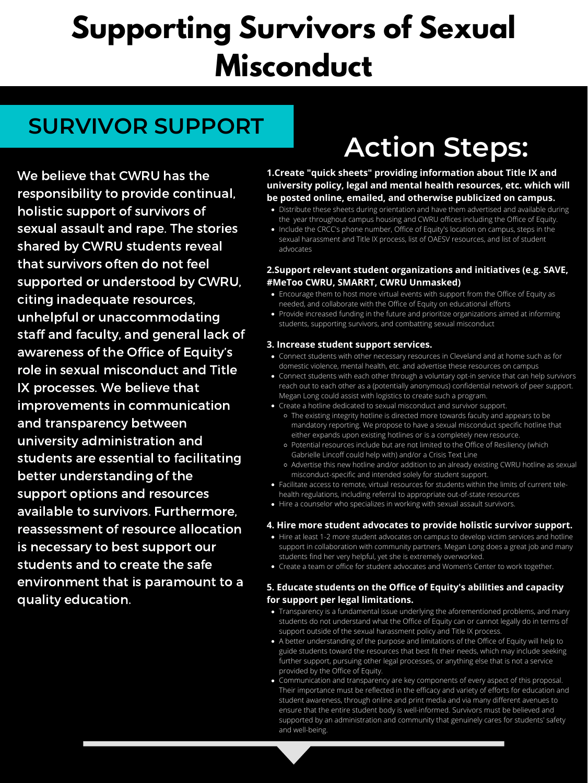### **SURVIVOR SUPPORT**

# **Action Steps:**

We believe that CWRU has the responsibility to provide continual, holistic support of survivors of sexual assault and rape. The stories shared by CWRU students reveal that survivors often do not feel supported or understood by CWRU, citing inadequate resources, unhelpful or unaccommodating staff and faculty, and general lack of awareness of the Office of Equity's role in sexual misconduct and Title IX processes. We believe that improvements in communication and transparency between university administration and students are essential to facilitating better understanding of the support options and resources available to survivors. Furthermore, reassessment of resource allocation is necessary to best support our students and to create the safe environment that is paramount to a quality education.

- Distribute these sheets during orientation and have them advertised and available during the year throughout campus housing and CWRU offices including the Office of Equity.
- Include the CRCC's phone number, Office of Equity's location on campus, steps in the sexual harassment and Title IX process, list of OAESV resources, and list of student advocates

- Encourage them to host more virtual events with support from the Office of Equity as needed, and collaborate with the Office of Equity on educational efforts
- Provide increased funding in the future and prioritize organizations aimed at informing students, supporting survivors, and combatting sexual misconduct

- Connect students with other necessary resources in Cleveland and at home such as for domestic violence, mental health, etc. and advertise these resources on campus
- Connect students with each other through a voluntary opt-in service that can help survivors reach out to each other as a (potentially anonymous) confidential network of peer support. Megan Long could assist with logistics to create such a program.
- Create a hotline dedicated to sexual misconduct and survivor support.

- The existing integrity hotline is directed more towards faculty and appears to be mandatory reporting. We propose to have a sexual misconduct specific hotline that either expands upon existing hotlines or is a completely new resource.
- Potential resources include but are not limited to the Office of Resiliency (which Gabrielle Lincoff could help with) and/or a Crisis Text Line
- Advertise this new hotline and/or addition to an already existing CWRU hotline as sexual misconduct-specific and intended solely for student support.
- Facilitate access to remote, virtual resources for students within the limits of current telehealth regulations, including referral to appropriate out-of-state resources
- Hire a counselor who specializes in working with sexual assault survivors.

- Hire at least 1-2 more student advocates on campus to develop victim services and hotline support in collaboration with community partners. Megan Long does a great job and many students find her very helpful, yet she is extremely overworked.
- Create a team or office for student advocates and Women's Center to work together.

- Transparency is a fundamental issue underlying the aforementioned problems, and many students do not understand what the Office of Equity can or cannot legally do in terms of support outside of the sexual harassment policy and Title IX process.
- A better understanding of the purpose and limitations of the Office of Equity will help to guide students toward the resources that best fit their needs, which may include seeking further support, pursuing other legal processes, or anything else that is not a service provided by the Office of Equity.
- Communication and transparency are key components of every aspect of this proposal. Their importance must be reflected in the efficacy and variety of efforts for education and student awareness, through online and print media and via many different avenues to ensure that the entire student body is well-informed. Survivors must be believed and supported by an administration and community that genuinely cares for students' safety and well-being.

**1.Create "quick sheets" providing information about Title IX and university policy, legal and mental health resources, etc. which will be posted online, emailed, and otherwise publicized on campus.**

### **2.Support relevant student organizations and initiatives (e.g. SAVE, #MeToo CWRU, SMARRT, CWRU Unmasked)**

### **3. Increase student support services.**

### **4. Hire more student advocates to provide holistic survivor support.**

### **5. Educate students on the Office of Equity's abilities and capacity for support per legal limitations.**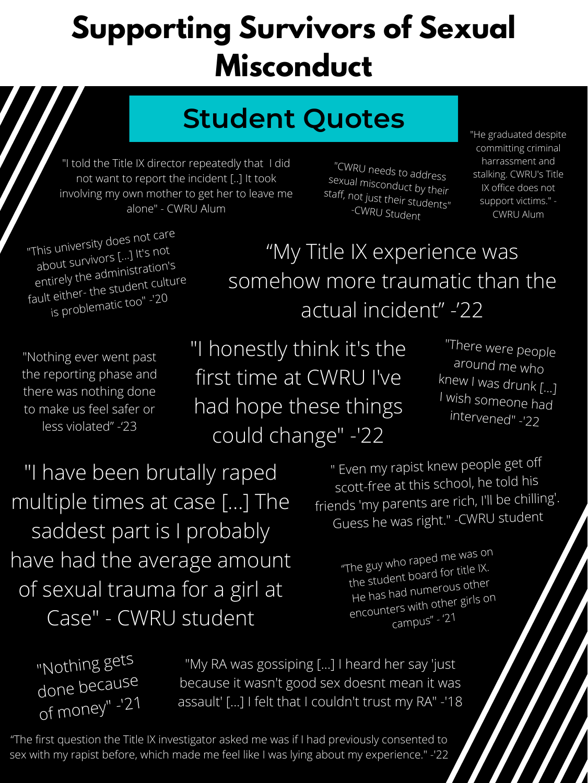# **Student Quotes**

"My Title IX experience was somehow more traumatic than the actual incident" -'22

> "The guy who rape<sup>d</sup> me was on the student board for title IX. He has had numerous other encounters with other girls on campus" - '21

"Nothing ever went past the reporting phase and there was nothing done to make us feel safer or less violated" -'23

"I honestly think it's the first time at CWRU I've had hope these things could change" -'22

"The first question the Title IX investigator asked me was if I had previously consented to sex with my rapist before, which made me feel like I was lying about my experience." -'22

"CWRU needs to address<br>sexual misconduct by their staff, not just their students" -CWRU Student

" Even my rapist knew people get off scott-free at this school, he told his friends 'my parents are rich, I'll be chilling'. Guess he was right." -CWRU student

"I told the Title IX director repeatedly that I did not want to report the incident [..] It took involving my own mother to get her to leave me alone" - CWRU Alum

"He graduated despite committing criminal harrassment and stalking. CWRU's Title IX office does not support victims." - CWRU Alum

"I have been brutally raped multiple times at case [...] The saddest part is I probably have had the average amount of sexual trauma for a girl at Case" - CWRU student

"Nothing gets<br>done because of money" -'21

"This university does not care about survivors [...] It's not entirely the administration's fault either- the student culture is problematic too" -'20

> "There were people around me who knew I was drunk [...] I wish someone had intervened" -'22

"My RA was gossiping [...] I heard her say 'just because it wasn't good sex doesnt mean it was assault' [...] I felt that I couldn't trust my RA" -'18